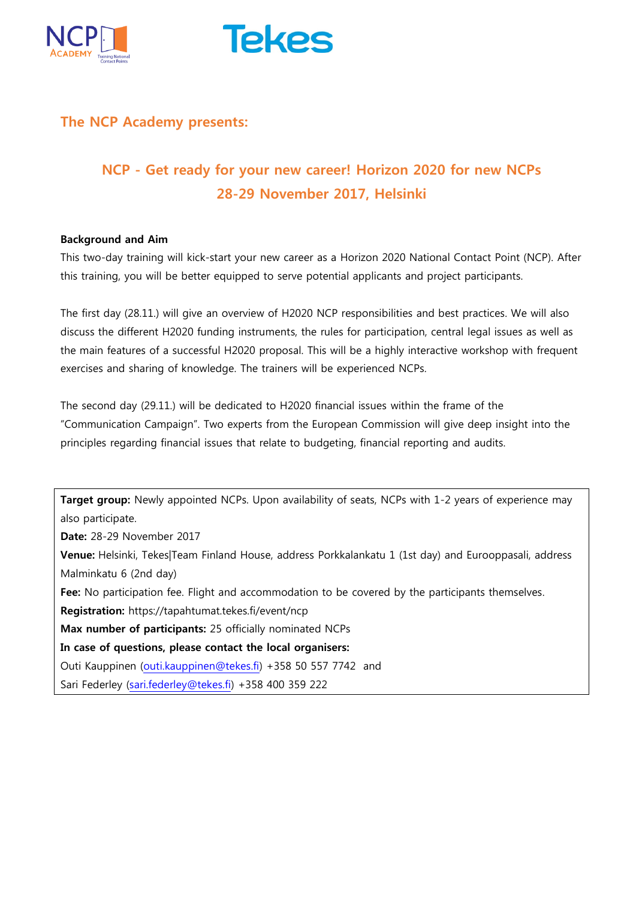



## **The NCP Academy presents:**

# **NCP - Get ready for your new career! Horizon 2020 for new NCPs 28-29 November 2017, Helsinki**

#### **Background and Aim**

This two-day training will kick-start your new career as a Horizon 2020 National Contact Point (NCP). After this training, you will be better equipped to serve potential applicants and project participants.

The first day (28.11.) will give an overview of H2020 NCP responsibilities and best practices. We will also discuss the different H2020 funding instruments, the rules for participation, central legal issues as well as the main features of a successful H2020 proposal. This will be a highly interactive workshop with frequent exercises and sharing of knowledge. The trainers will be experienced NCPs.

The second day (29.11.) will be dedicated to H2020 financial issues within the frame of the "Communication Campaign". Two experts from the European Commission will give deep insight into the principles regarding financial issues that relate to budgeting, financial reporting and audits.

**Target group:** Newly appointed NCPs. Upon availability of seats, NCPs with 1-2 years of experience may also participate.

**Date:** 28-29 November 2017

**Venue:** Helsinki, Tekes|Team Finland House, address Porkkalankatu 1 (1st day) and Eurooppasali, address Malminkatu 6 (2nd day)

**Fee:** No participation fee. Flight and accommodation to be covered by the participants themselves.

**Registration:** https://tapahtumat.tekes.fi/event/ncp

**Max number of participants:** 25 officially nominated NCPs

**In case of questions, please contact the local organisers:** 

Outi Kauppinen [\(outi.kauppinen@tekes.fi\)](mailto:outi.kauppinen@tekes.fi) +358 50 557 7742 and

Sari Federley [\(sari.federley@tekes.fi\)](mailto:sari.federley@tekes.fi) +358 400 359 222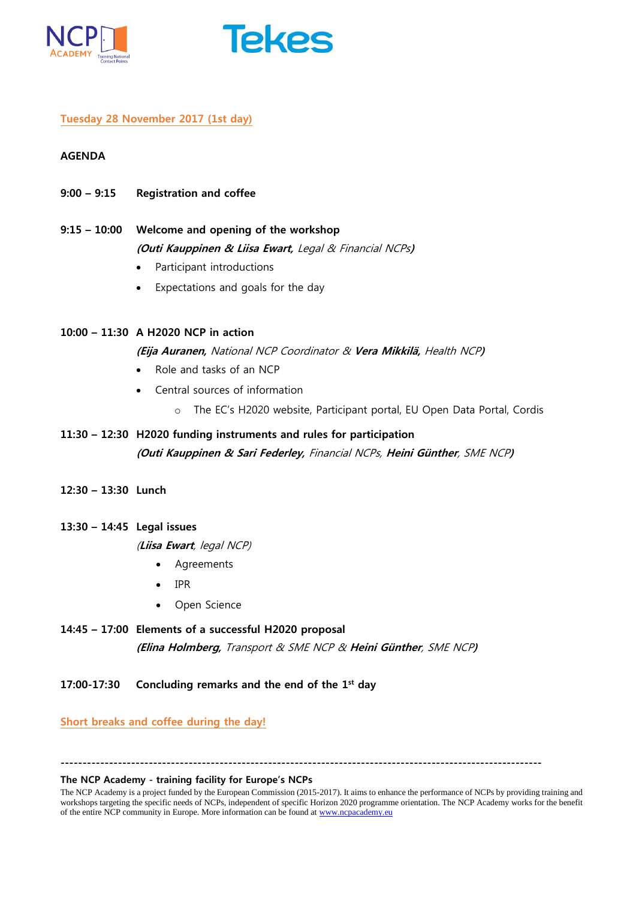



#### **Tuesday 28 November 2017 (1st day)**

#### **AGENDA**

- **9:00 – 9:15 Registration and coffee**
- **9:15 – 10:00 Welcome and opening of the workshop (Outi Kauppinen & Liisa Ewart,** Legal & Financial NCPs**)**
	- Participant introductions
	- Expectations and goals for the day
- **10:00 – 11:30 A H2020 NCP in action**

**(Eija Auranen,** National NCP Coordinator & **Vera Mikkilä,** Health NCP**)**

- Role and tasks of an NCP
- Central sources of information
	- o The EC's H2020 website, Participant portal, EU Open Data Portal, Cordis
- **11:30 – 12:30 H2020 funding instruments and rules for participation (Outi Kauppinen & Sari Federley,** Financial NCPs, **Heini Günther**, SME NCP**)**
- **12:30 – 13:30 Lunch**

#### **13:30 – 14:45 Legal issues**

(**Liisa Ewart**, legal NCP)

- Agreements
- IPR
- Open Science
- **14:45 – 17:00 Elements of a successful H2020 proposal (Elina Holmberg,** Transport & SME NCP & **Heini Günther**, SME NCP**)**
- **17:00-17:30 Concluding remarks and the end of the 1 st day**

**Short breaks and coffee during the day!**

**-------------------------------------------------------------------------------------------------------------**

#### **The NCP Academy - training facility for Europe's NCPs**

The NCP Academy is a project funded by the European Commission (2015-2017). It aims to enhance the performance of NCPs by providing training and workshops targeting the specific needs of NCPs, independent of specific Horizon 2020 programme orientation. The NCP Academy works for the benefit of the entire NCP community in Europe. More information can be found at [www.ncpacademy.eu](http://www.ncpacademy.eu/)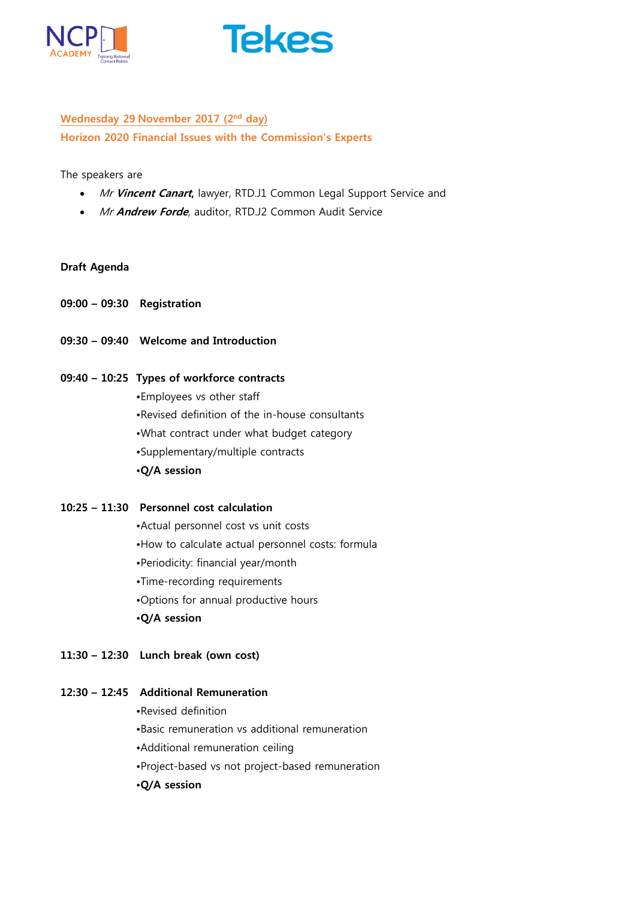



## **Wednesday 29 November 2017 (2nd day) Horizon 2020 Financial Issues with the Commission's Experts**

The speakers are

- Mr Vincent Canart, lawyer, RTD.J1 Common Legal Support Service and
- Mr **Andrew Forde**, auditor, RTD.J2 Common Audit Service

#### **Draft Agenda**

- **09:00 – 09:30 Registration**
- **09:30 – 09:40 Welcome and Introduction**

#### **09:40 – 10:25 Types of workforce contracts**

- •Employees vs other staff
- •Revised definition of the in-house consultants
- •What contract under what budget category
- •Supplementary/multiple contracts
- **•Q/A session**

#### **10:25 – 11:30 Personnel cost calculation**

- •Actual personnel cost vs unit costs
- •How to calculate actual personnel costs: formula
- •Periodicity: financial year/month
- •Time-recording requirements
- •Options for annual productive hours
- **•Q/A session**
- **11:30 – 12:30 Lunch break (own cost)**

### **12:30 – 12:45 Additional Remuneration**

- •Revised definition
- •Basic remuneration vs additional remuneration
- •Additional remuneration ceiling
- •Project-based vs not project-based remuneration
- **•Q/A session**